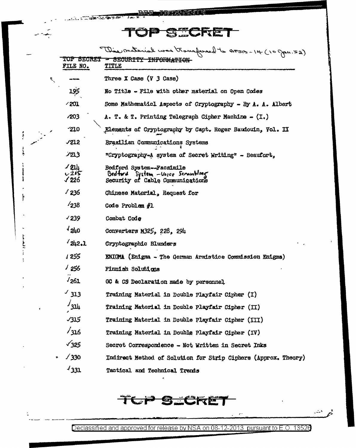REFLIDEN क्रमश्री

**CALL LEADERSHIP WAY THAT** 

 $\mathcal{L}_{\mathcal{L}}$ 

 $\ddot{\phantom{a}}$ 

j

 $\overline{\phantom{a}}$ 

|                                 | This material was transferred to AFSA - 14 (10 gras. 52)                                                                 |
|---------------------------------|--------------------------------------------------------------------------------------------------------------------------|
| FILE NO.                        | TOP SECRET - SECURITY INFORMATION<br>TITLE                                                                               |
|                                 | Three $X$ Case $(Y \; 3 \;$ Case)                                                                                        |
| 195                             | No Title - File with other material on Open Codes                                                                        |
| - 201                           | Some Mathematicl Aspects of Cryptography - By A. A. Albert                                                               |
| <b>⁄203</b>                     | A. T. & T. Printing Telegraph Cipher Machine $-$ (I.)                                                                    |
| -210                            | Elements of Cryptography by Capt. Roger Baudouin, Vol. II                                                                |
| $\sqrt{212}$                    | Brazilian Communications Systems                                                                                         |
| 723                             | "Cryptography-A system of Secret Writing" - Beaufort,                                                                    |
| <u>/ 214</u><br>$-215$<br>√ 226 | Bedford System--Facsimile<br>$\theta$ edford $\theta$ stem $-\theta$ ozce Scrombling<br>Security of Cable Communications |
| $\sqrt{236}$                    | Chinese Material, Request for                                                                                            |
| 1238                            | Code Problem $#1$                                                                                                        |
| $\sqrt{239}$                    | Combat Code                                                                                                              |
| $\sqrt{510}$                    | Converters M325, 228, 294                                                                                                |
| $^{4}242.1$                     | Gryptographic Blunders                                                                                                   |
| 1 255                           | ENIGMA (Enigma - The German Armistice Commission Enigma)                                                                 |
| - 256                           | Finnish Solutions                                                                                                        |
| 1261                            | GC & CS Declaration made by personnel                                                                                    |
| $\frac{1}{213}$                 | Training Material in Double Playfair Cipher (I)                                                                          |
| $\frac{1}{3}$                   | Training Material in Double Playfair Cipher (II)                                                                         |
| <b>JI5</b>                      | Training Material in Double Playfair Cipher (III)                                                                        |
| /316                            | Training Material in Double Playfair Cipher (IV)                                                                         |
| $\sqrt{325}$                    | Secret Correspondence - Not Written in Secret Inks                                                                       |
| /330                            | Indirect Method of Solution for Strip Ciphers (Approx. Theory)                                                           |
| 4331                            | Tectical and Tochnical Tronds                                                                                            |

 $\mathbf{t}$ 

 $\pmb{\varepsilon}$ 

Declassified and approved for release by NSA on 08-12-2013 pursuant to E.O. 13526

 $\epsilon$  :

 $\mathbb{Z}^{\mathcal{K}}$ 

ř.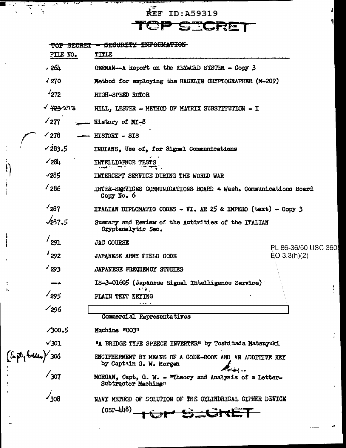REF ID: A59319

 $\mathbb{R}$ 

 $\mathbb{R}$ 

F.

 $\overline{\phantom{a}}$ 

ТĒ,

<u>ਰਜਾ ਜਿਸਦੇ</u>

TOP SECRET

 $\pmb{\mathsf{I}}$ 

ţ

|                                 | <del>TOP SECRET</del><br>FILE NO. | <del>SECURITY INFORMATION</del><br>TITLE                                                    |
|---------------------------------|-----------------------------------|---------------------------------------------------------------------------------------------|
|                                 |                                   |                                                                                             |
|                                 | √ 264                             | GERMAN-A Report on the KEYWORD SYSTEM - Copy 3                                              |
|                                 | $\sqrt{270}$                      | Method for employing the HAGELIN CRYPTOGRAPHER (M-209)                                      |
|                                 | $\sqrt{272}$                      | HIGH-SPEED ROTOR                                                                            |
|                                 | v <del>723</del> 213              | HILL, LESTER - METHOD OF MATRIX SUBSTITUTION - I                                            |
|                                 | $\sqrt{277}$                      | History of MI-8                                                                             |
|                                 | $\sim$ 278                        | HISTORY - SIS                                                                               |
|                                 | 1283.5                            | INDIANS, Use of, for Signal Communications                                                  |
| $\mathbf{I}$                    | 1284                              | <b>INTELLIGENCE TES</b>                                                                     |
|                                 | √285                              | INTERCEPT SERVICE DURING THE WORLD WAR                                                      |
|                                 | $\frac{1}{286}$                   | INTER-SERVICES COMMUNICATIONS BOARD * Wash. Communications Board<br>Copy No. 6              |
|                                 | $\frac{1}{287}$                   | <b>TTALIAN DIPLOMATIC CODES - VI. AR 25 &amp; IMPERO (text) - Copy 3</b>                    |
|                                 | $\sqrt{287.5}$                    | Summary and Review of the Activities of the ITALIAN<br>Cryptanalytic Sec.                   |
|                                 | $'$ 291                           | <b>JAC COURSE</b>                                                                           |
|                                 | 1292                              | PL 86-36/50 USC 360<br>$E_O$ 3.3(h)(2)<br>JAPANESE ARMY FIELD CODE                          |
|                                 | $\frac{4}{293}$                   | JAPANESE FREQUENCY STUDIES                                                                  |
|                                 |                                   | IS-3-01605 (Japanese Signal Intelligence Service)                                           |
| Ł.                              | $\frac{1}{295}$                   | ピター<br>PLAIN TEXT KEYING                                                                    |
|                                 | 1296∕                             | .                                                                                           |
|                                 |                                   | Commercial Representatives                                                                  |
|                                 | $\sqrt{300.5}$                    | Machine "003"                                                                               |
|                                 | $\sqrt{301}$                      | "A BRIDGE TIPE SPEECH INVERTER" by Toshitada Matsuyuki                                      |
| (En <b>pty Folder)</b> 306<br>! |                                   | ENCIPHERMENT BY MEANS OF A CODE-BOOK AND AN ADDITIVE KEY<br>by Captain G. W. Morgan<br>544. |
|                                 |                                   | MORGAN, Capt, G. W. - "Theory and Analysis of a Letter-<br>Subtractor Machine"              |
|                                 | $\frac{1}{308}$                   | NAVY METHOD OF SOLUTION OF THE CYLINDRICAL CIPHER DEVICE                                    |
|                                 |                                   | $(CSP-\mu \mu 8)$<br><del>_CKE</del>                                                        |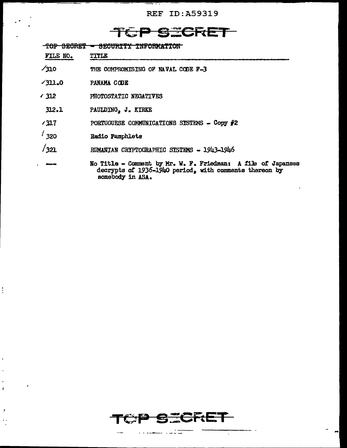**REF ID: A59319** 

## 计式包

TOP SECRET - SECURITY INFORMATION

| FILE NO. | TITLE |
|----------|-------|
|          |       |

- $\sqrt{310}$ THE COMPROMISING OF NAVAL CODE F-3
- $7311.0$ PANAMA CODE
- $\sqrt{312}$ PHOTOSTATIC NEGATIVES
- $312.1$ PAULDING, J. KIRKE
- $/317$ PORTUGUESE COMMUNICATIONS SYSTEMS - Copy #2
- $\frac{1}{320}$ Radio Pamphlets

 $\frac{1}{2}$ 

 $\overline{1}$ 

 $\pmb{i}$ 

 $\,$   $\,$ 

- $/321$ RUMANIAN CRYPTOGRAPHIC SYSTEMS - 1943-1946
- No Title Comment by Mr. W. F. Friedman: A file of Japanses decrypts of 1936-1940 period, with comments thereon by somebody in ASA.

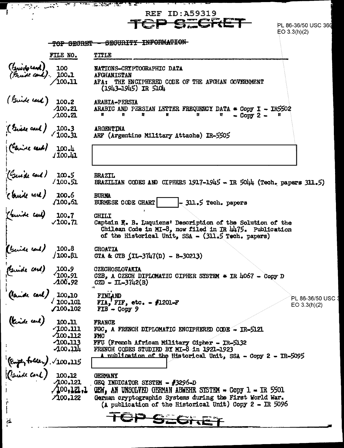| a shekarar 200 metatra. Ana                                                                       | in the control of the                                     | անդարում առաջին է մեն ա<br><b>REF ID:A59319</b>                                                                                                                                                                                                    |
|---------------------------------------------------------------------------------------------------|-----------------------------------------------------------|----------------------------------------------------------------------------------------------------------------------------------------------------------------------------------------------------------------------------------------------------|
|                                                                                                   |                                                           | STORET<br>TCP<br>PL 86-36/50 USC 360<br>EO 3.3(h)(2)                                                                                                                                                                                               |
|                                                                                                   | TOP SEGRET                                                | <b>SECURITY INFORMATION</b>                                                                                                                                                                                                                        |
|                                                                                                   | FILE NO.                                                  | TITLE                                                                                                                                                                                                                                              |
| (friedorend) 100<br>( <i>fruide cond)</i> , 100.1<br>(100.11                                      |                                                           | <b>NATIONS-CRIPTOGRAPHIC DATA</b><br><b>AFGHANISTAN</b><br>AFA: THE ENCIPHERED CODE OF THE AFGHAN GOVERNMENT<br>$(1943 - 1945)$ IR $5104$                                                                                                          |
| ( Guide card )                                                                                    | 100.2<br>400.21<br>/100.21                                | ARABIA-PERSIA<br>ARABIC AND PERSIAN LETTER FREQUENCY DATA $*$ Copy I - IR5502<br>Ħ.<br>n<br>u<br>n<br>u<br>$-$ Copy 2 $-$<br>n<br>п                                                                                                                |
| ( Give and ) 100.31<br>(Canise and ) 100.31<br>(Canise and ) 100.41                               |                                                           | ARGENTINA<br>ARF (Argentine Military Attache) IR-5505                                                                                                                                                                                              |
|                                                                                                   |                                                           |                                                                                                                                                                                                                                                    |
| ( Guide card ) 100.51<br>( Guide card ) 100.61<br>( Guide card ) 100.61<br>( Curide card ) 100.71 |                                                           | <b>BRAZIL</b><br>BRAZILIAN CODES AND CIPHERS 1917-1945 - IR 5044 (Tech. papers 311.5)                                                                                                                                                              |
|                                                                                                   |                                                           | <b>BURNA</b><br>$-311.5$ Tech. papers<br><b>BURMESE CODE CHART</b>                                                                                                                                                                                 |
|                                                                                                   | $\sqrt{100.71}$                                           | <b>CHILI</b><br>Captain E. B. Luquiens' Description of the Solution of the<br>Chilean Code in MI-8, now filed in IR $\mu$ 175. Publication<br>of the Historical Unit, SSA - (311.5 Tech. papers)                                                   |
| (beide cont)                                                                                      | 100.8<br>/100.81                                          | <b>CROATIA</b><br>GTA & GTB $(IL-3747(D) - B-30213)$                                                                                                                                                                                               |
|                                                                                                   | 100.9<br>100.91<br>$-400.92$                              | CZECHOSLOVAKIA<br>CZB, A CZECH DIPLOMATIC CIPHER SYSTEM $*$ IR 4067 - Copy D<br>$GZD - TL-3742(B)$                                                                                                                                                 |
| (Guide and)<br>(Guide carl)<br>(Guide carl)<br>(Guide carl)                                       | 100, 10<br>$\sqrt{100}$ -101<br>7100.102                  | FINLAND<br>PL 86-36/50 USC<br>FIA, FIF, etc. - $\#1201-F$<br>EO $3.3(h)(2)$<br>$FIB - Copy 9$                                                                                                                                                      |
|                                                                                                   | 100.11<br>/100.111<br>400.112<br>$-100.113$<br>$-100.114$ | <b>FRANCE</b><br>FGC. A FRENCH DIPLOMATIC ENCIPHERED CODE - IR-5121<br>FMC<br>FFU (French African Military Cipher - IR-5132<br>FRENCH CODES STUDIED BY MI-8 in 1921-1923                                                                           |
|                                                                                                   |                                                           | A nublication of the Historical Unit, SSA - Copy 2 - IR-5095                                                                                                                                                                                       |
| (Empty folder). 100.115<br>(Crist Corl) 100.12<br>100.121<br>100.121.1                            | 7100, 122                                                 | <b>GERMANY</b><br>GEQ INDICATOR SYSTEM - $#3296-D$<br>(100,121.1 CEW, AN UNSOLVED GERMAN ABWEHR SYSTEM - COPY 1 - IR 5501<br>German cryptographic Systems during the First World War.<br>(A publication of the Historical Unit) Copy $2 - IR$ 5096 |
| $\tilde{a}$                                                                                       |                                                           | TOP SEGRET                                                                                                                                                                                                                                         |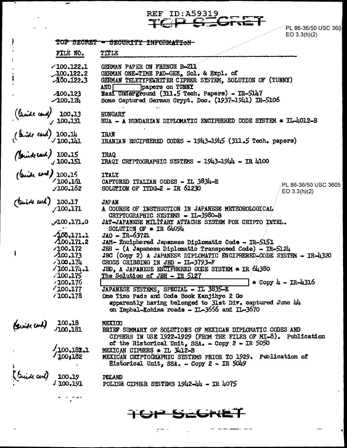REF ID:A59319<br>TCP SEGRET PL 86-36/50 USC 360

|                                                                                                                   |                             | EO 3.3(h)(2)                                                                                                                                                                     |
|-------------------------------------------------------------------------------------------------------------------|-----------------------------|----------------------------------------------------------------------------------------------------------------------------------------------------------------------------------|
|                                                                                                                   | TOP SECRET                  | <del>- SECURITY INFORMATION</del>                                                                                                                                                |
|                                                                                                                   | FILE NO.                    | TITLE                                                                                                                                                                            |
|                                                                                                                   | $\angle 100.122.1$          | GERMAN PAPER ON FRENCH B-211                                                                                                                                                     |
|                                                                                                                   | 100.122.2                   | GERMAN ONE-TIME PAD-GEE, Sol. & Expl. of                                                                                                                                         |
|                                                                                                                   | $-100 - 122 - 3$            | GERMAN TELETYPELRITER CIPHER SYSTEM, SOLUTION OF (TUNNY)                                                                                                                         |
|                                                                                                                   | $-400,123$                  | and F<br>papers on TUNNY<br>Nazi Underground (311.5 Tech. Papers) - IR-5147                                                                                                      |
|                                                                                                                   | $-100.121$                  | Some Captured German Crypt. Doc. (1937-1941) IR-5106                                                                                                                             |
| $\frac{100.13}{\sqrt{100.131}}$                                                                                   |                             | HUNGARY<br>HUA - A HUNDARIAN DIPLOMATIC ENCIPHERED CODE SYSTEM * IL-4012-B                                                                                                       |
| (buide eard) 100.14<br>100.141<br>(buide card) 100.151<br>(buide card) 100.151<br>(buide card) 100.161<br>100.162 |                             | <b>TRAN</b><br>TRANTAN ENCIPHERED CODES - 1943-1945 (311.5 Tech. papers)                                                                                                         |
|                                                                                                                   |                             |                                                                                                                                                                                  |
|                                                                                                                   |                             | <b>IRAQ</b><br>IRAOI CRIPTOGRAPHIC SYSTEMS - 1943-1944 - IR 4100                                                                                                                 |
|                                                                                                                   |                             |                                                                                                                                                                                  |
|                                                                                                                   |                             | <b>TTALY</b>                                                                                                                                                                     |
|                                                                                                                   | J100.162                    | CAPTURED ITALIAN CODES - IL 3834-E<br>PL 86-36/50 USC 3605<br>SOLUTION OF ITDO-2 - IR 61230                                                                                      |
|                                                                                                                   |                             | EO $3.3(h)(2)$                                                                                                                                                                   |
| ( think and ) 100.17                                                                                              |                             | <b>JAPAN</b>                                                                                                                                                                     |
|                                                                                                                   |                             | A COURSE OF INSTRUCTION IN JAPANESE METEOROLOGICAL                                                                                                                               |
|                                                                                                                   | 0.171,0                     | CRYPTOGRAPHIC SYSTEMS - IL-3980-B<br>JAT-JAPANESE MILITARY ATTACHE SYSTEM FOR CRYPTO INTEL.                                                                                      |
|                                                                                                                   |                             | SOLUTION OF * IR 64094                                                                                                                                                           |
|                                                                                                                   | $-100.171.1$                | JAO - IR-63721                                                                                                                                                                   |
|                                                                                                                   | $A\omega.171.2$             | JAM- Enciphered Japanese Diplomatic Code - IR-5151                                                                                                                               |
|                                                                                                                   | -100.172                    | JBB - (A Japanese Diplomatic Transposed Code) - IR-5124                                                                                                                          |
|                                                                                                                   | $-100, 173$<br>100.174      | JBC (Copy 2) A JAPANESE DIPLOMATIC ENCIPHERED-CODE SYSTEM - IR-4320<br>CROSS CRIBBING IN JED - IL-3793-F                                                                         |
|                                                                                                                   | $\angle 100.174.1$          | JED, A JAPANESE ENCIPHERED CODE SYSTEM * IR 64380                                                                                                                                |
|                                                                                                                   | /100.175                    | The Solution of JBH - IR 5127                                                                                                                                                    |
|                                                                                                                   | $-100.176$                  | * Copy 4 - IR-4316                                                                                                                                                               |
|                                                                                                                   | /100.177                    | JAPANESE SYSTEMS, SPECIAL - IL 3835-E                                                                                                                                            |
|                                                                                                                   | /100.178                    | One Time Pads and Code Book Kanjihyo 2 Go                                                                                                                                        |
|                                                                                                                   |                             | apparently having belonged to 31st Div. captured June 44<br>on Imphal-Kohima roads - IL-3656 and IL-3670                                                                         |
|                                                                                                                   | $100 - 18$                  | MEXICO                                                                                                                                                                           |
| (Switcom)                                                                                                         | J100.181                    | BRIEF SUMMARY OF SOLUTIONS OF MEXICAN DIPLOMATIC CODES AND<br>CIPHERS IN USE 1922-1929 (FROM THE FILES OF MI-8). Publication<br>of the Historical Unit, $SSA = Copy 2 = IR 5050$ |
|                                                                                                                   |                             | MEXICAN CIPHERS * IL 3412-B                                                                                                                                                      |
|                                                                                                                   | $\frac{100,182.1}{100,182}$ | MEXICAN CRIPTOGRAPHIC SYSTEMS PRIOR TO 1929. Publication of                                                                                                                      |
|                                                                                                                   |                             | Historical Unit, SSA. - Copy 2 - IR 5049                                                                                                                                         |
| (Briedcard)                                                                                                       |                             |                                                                                                                                                                                  |
|                                                                                                                   | $100.19$<br>$100.191$       | POLAND<br>POLISH CIPHER SYSTEMS 1942-44 - IR 4075                                                                                                                                |
|                                                                                                                   |                             |                                                                                                                                                                                  |
|                                                                                                                   | معاني المراد                |                                                                                                                                                                                  |
|                                                                                                                   |                             |                                                                                                                                                                                  |

 $\overline{\phantom{a}}$ 

 $\sim 10^{-10}$  .

 $\ddot{\phantom{a}}$ 

 $\omega_{\rm{eff}}=2.5$ 

TOP SEGRET

in de la companya de la companya de la companya de la companya de la companya de la companya de la companya de<br>La companya de la companya de la companya de la companya de la companya de la companya de la companya de la co

 $-$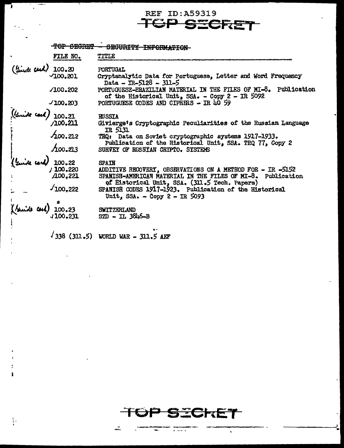## **REF ID: A59319 SERET**

TOP SEGRET SEGURITY INFORMATION-FILE NO. TITLE 100.20 Turde card **PORTUGAL** 100.201 Cryptanalytic Data for Portuguese, Letter and Word Frequency Data -  $IR-5128 - 311-5$ PORTUGUESE-PRAZILIAN MATERIAL IN THE FILES OF MI-8. Publication  $J100.202$ of the Historical Unit, SSA. - Copy 2 - IR 5092 PORTUGUESE CODES AND CIPHERS - IR 40 59  $100.203$ ide cord) 100.21 **RUSSIA A00.211** Givierge's Cryptographic Peculiarities of the Russian Language  $IR$  5131  $400.212$ TRQ: Data on Soviet cryptographic systems 1917-1933. Publication of the Historical Unit, SSA. TRQ 77, Copy 2  $A$ 00.213 SURVEY OF RUSSIAN CRYPTO. SYSTEMS 100.22 **SPAIN** ADDITIVE RECOVERT, OBSERVATIONS ON A METHOD FOR - IR -5152<br>SPANISH-AMERICAN MATERIAL IN THE FILES OF MI-8. Publication<br>of Historical Unit, SSA. (311.5 Tech. Papers)<br>SPANISH CODES 1917-1923. Publication of the Historical / 100.220 A00,221  $100,222$ Unit, SSA. - Čopy 2 - IR 5093 (Guide Carl) 100.23 SWITZERLAND 1100.231 SZD - IL 3846-B

 $(311.5)$  WORLD WAR - 311.5 AEF

÷.

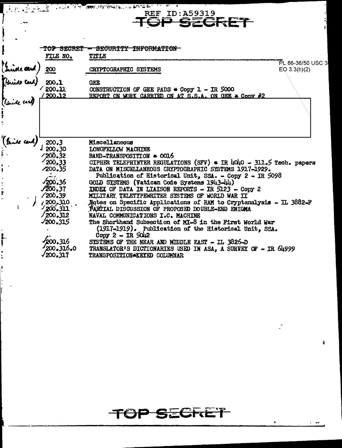|                                                        |                              | $\left(\begin{array}{cc} \frac{1}{2} & \frac{1}{2} & \frac{1}{2} & \frac{1}{2} & \frac{1}{2} & \frac{1}{2} & \frac{1}{2} & \frac{1}{2} & \frac{1}{2} & \frac{1}{2} & \frac{1}{2} & \frac{1}{2} & \frac{1}{2} & \frac{1}{2} & \frac{1}{2} & \frac{1}{2} & \frac{1}{2} & \frac{1}{2} & \frac{1}{2} & \frac{1}{2} & \frac{1}{2} & \frac{1}{2} & \frac{1}{2} & \frac{1}{2} & \frac{1}{2} & \frac{1}{2} & \frac{$ |                   |
|--------------------------------------------------------|------------------------------|--------------------------------------------------------------------------------------------------------------------------------------------------------------------------------------------------------------------------------------------------------------------------------------------------------------------------------------------------------------------------------------------------------------|-------------------|
|                                                        |                              | <b>REF ID: A59319</b>                                                                                                                                                                                                                                                                                                                                                                                        |                   |
|                                                        |                              | SECRET                                                                                                                                                                                                                                                                                                                                                                                                       |                   |
|                                                        |                              |                                                                                                                                                                                                                                                                                                                                                                                                              |                   |
|                                                        |                              |                                                                                                                                                                                                                                                                                                                                                                                                              |                   |
|                                                        | TOP SECRET                   | <del>- SECURITY INFORMATION</del>                                                                                                                                                                                                                                                                                                                                                                            |                   |
|                                                        | FILE NO.                     | TITLE                                                                                                                                                                                                                                                                                                                                                                                                        | PL 86-36/50 USC 3 |
| (Juice and                                             |                              | CRYPTOGRAPHIC SYSTEMS                                                                                                                                                                                                                                                                                                                                                                                        | EO 3.3(h)(2)      |
|                                                        |                              |                                                                                                                                                                                                                                                                                                                                                                                                              |                   |
|                                                        |                              | <b>GEE</b>                                                                                                                                                                                                                                                                                                                                                                                                   |                   |
| (krist card) 200.1<br>200.11<br>(kriste card) (200.12) |                              | CONSTRUCTION OF GEE PADS $*$ Copy 1 - IR 5000<br>REPORT ON WORK CARRIED ON AT S.S.A. ON GEE * CODY #2                                                                                                                                                                                                                                                                                                        |                   |
|                                                        |                              |                                                                                                                                                                                                                                                                                                                                                                                                              |                   |
|                                                        |                              |                                                                                                                                                                                                                                                                                                                                                                                                              |                   |
|                                                        |                              |                                                                                                                                                                                                                                                                                                                                                                                                              |                   |
|                                                        |                              |                                                                                                                                                                                                                                                                                                                                                                                                              |                   |
|                                                        |                              |                                                                                                                                                                                                                                                                                                                                                                                                              |                   |
| (truise cand.)                                         | 200.3                        | Miscellaneous                                                                                                                                                                                                                                                                                                                                                                                                |                   |
|                                                        | 1200.30                      | LONGFELLOW MACHINE                                                                                                                                                                                                                                                                                                                                                                                           |                   |
|                                                        | 1200.32<br>$\sqrt{200}$ , 33 | BAND-TRANSPOSITION * 0016                                                                                                                                                                                                                                                                                                                                                                                    |                   |
|                                                        | 7200.35                      | CIPHER TELEPRINTER REGULATIONS (SFV) $\ast$ IR 4040 - 311.5 Tech. papers<br>DATA ON MISCELLANEOUS CRYPTOGRAPHIC SYSTEMS 1917-1929.                                                                                                                                                                                                                                                                           |                   |
|                                                        |                              | Publication of Historical Unit, SSA. - Copy 2 - IR 5098                                                                                                                                                                                                                                                                                                                                                      |                   |
|                                                        | $\sqrt{200.36}$              | GOLD SISTEMS (Vatican Code Systems 1943-44)                                                                                                                                                                                                                                                                                                                                                                  |                   |
| $\frac{1}{r}$                                          | $\sqrt{200}$ , 37            | INDEX OF DATA IN LIAISON REPORTS - IR 5123 - Copy 2                                                                                                                                                                                                                                                                                                                                                          |                   |
|                                                        | /200,39                      | MILITARY TELETYPEWRITER SYSTEMS OF WORLD WAR II                                                                                                                                                                                                                                                                                                                                                              |                   |
|                                                        | /7200.310                    | Notes on Specific Applications of RAM to Cryptanalysis - IL 3882-F                                                                                                                                                                                                                                                                                                                                           |                   |
|                                                        | $\frac{200.311}{ }$          | PARTIAL DISCUSSION OF PROPOSED DOUBLE-END ENIGHA                                                                                                                                                                                                                                                                                                                                                             |                   |
|                                                        | /200.312                     | NAVAL COMMUNICATIONS I.C. MACHINE                                                                                                                                                                                                                                                                                                                                                                            |                   |
|                                                        | $\sqrt{200.315}$             | The Shorthand Subsection of MI-8 in the First World War<br>(1917-1919). Publication of the Historical Unit. SSA.                                                                                                                                                                                                                                                                                             |                   |
|                                                        |                              | $\text{Copy } 2 - \text{IR } 5042$                                                                                                                                                                                                                                                                                                                                                                           |                   |
| e.<br>I                                                | 200.316                      | SYSTEMS OF THE NEAR AND MIDDLE EAST - IL 3826-D                                                                                                                                                                                                                                                                                                                                                              |                   |
|                                                        | 200, 316, 0                  | TRANSLATOR'S DICTIONARIES USED IN ASA, A SURVEY OF - IR 64999                                                                                                                                                                                                                                                                                                                                                |                   |
|                                                        | √200,317                     | TRANSPOSITION*KEYED COLUMNAR                                                                                                                                                                                                                                                                                                                                                                                 |                   |

ļ.

 $\mathcal{L}^{(1)}$ 

 $\bullet$ 

 $\blacklozenge$ 

 $\sim$  -  $\bullet\tau$ 

## TOP SECRET